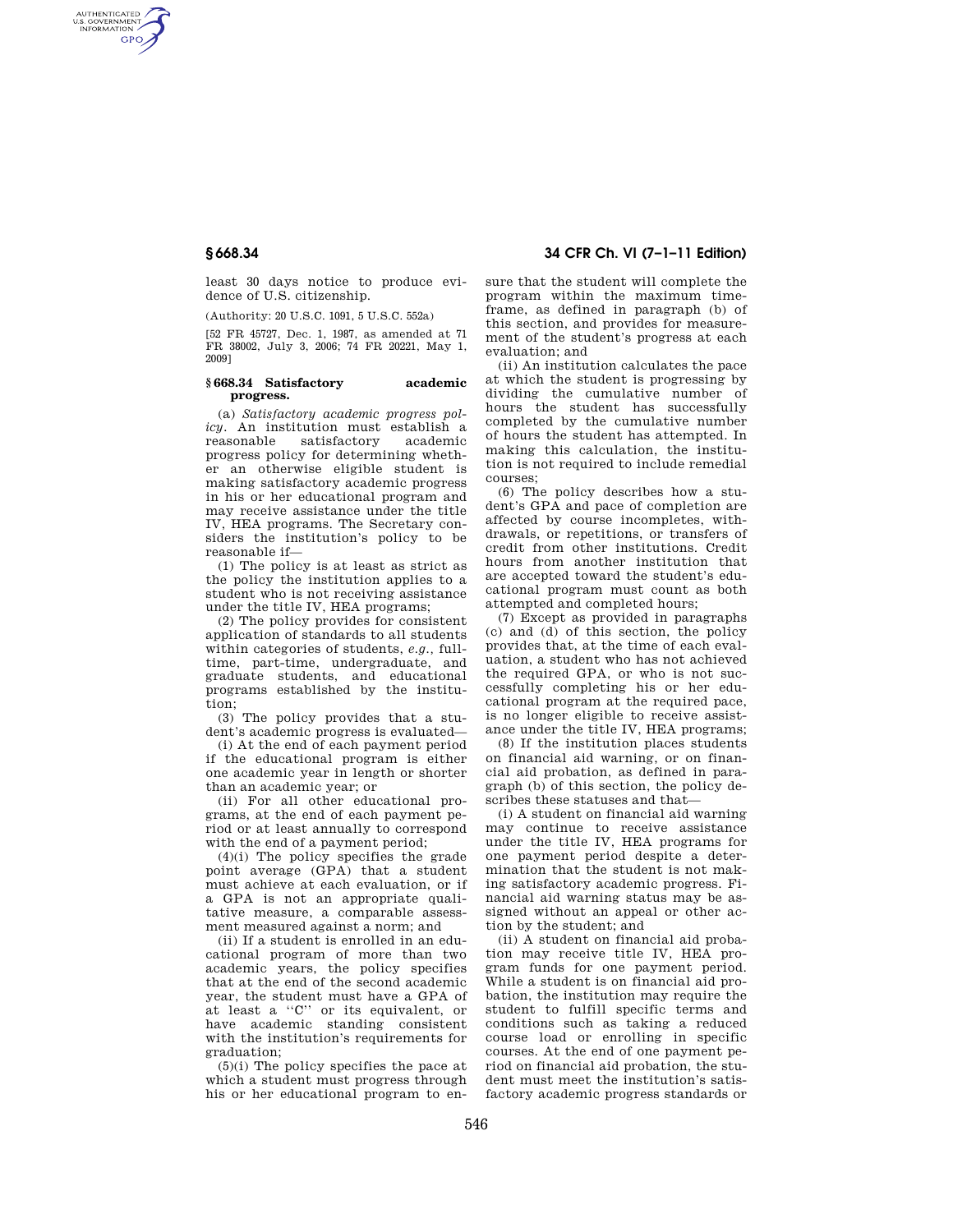AUTHENTICATED<br>U.S. GOVERNMENT<br>INFORMATION **GPO** 

> least 30 days notice to produce evidence of U.S. citizenship.

(Authority: 20 U.S.C. 1091, 5 U.S.C. 552a)

[52 FR 45727, Dec. 1, 1987, as amended at 71 FR 38002, July 3, 2006; 74 FR 20221, May 1, 2009]

## **§ 668.34 Satisfactory academic progress.**

(a) *Satisfactory academic progress policy.* An institution must establish a reasonable satisfactory academic progress policy for determining whether an otherwise eligible student is making satisfactory academic progress in his or her educational program and may receive assistance under the title IV, HEA programs. The Secretary considers the institution's policy to be reasonable if—

(1) The policy is at least as strict as the policy the institution applies to a student who is not receiving assistance under the title IV, HEA programs;

(2) The policy provides for consistent application of standards to all students within categories of students, *e.g.,* fulltime, part-time, undergraduate, and graduate students, and educational programs established by the institution;

(3) The policy provides that a student's academic progress is evaluated—

(i) At the end of each payment period if the educational program is either one academic year in length or shorter than an academic year; or

(ii) For all other educational programs, at the end of each payment period or at least annually to correspond with the end of a payment period;

(4)(i) The policy specifies the grade point average (GPA) that a student must achieve at each evaluation, or if a GPA is not an appropriate qualitative measure, a comparable assessment measured against a norm; and

(ii) If a student is enrolled in an educational program of more than two academic years, the policy specifies that at the end of the second academic year, the student must have a GPA of at least a ''C'' or its equivalent, or have academic standing consistent with the institution's requirements for graduation;

(5)(i) The policy specifies the pace at which a student must progress through his or her educational program to en-

# **§ 668.34 34 CFR Ch. VI (7–1–11 Edition)**

sure that the student will complete the program within the maximum timeframe, as defined in paragraph (b) of this section, and provides for measurement of the student's progress at each evaluation; and

(ii) An institution calculates the pace at which the student is progressing by dividing the cumulative number of hours the student has successfully completed by the cumulative number of hours the student has attempted. In making this calculation, the institution is not required to include remedial courses;

(6) The policy describes how a student's GPA and pace of completion are affected by course incompletes, withdrawals, or repetitions, or transfers of credit from other institutions. Credit hours from another institution that are accepted toward the student's educational program must count as both attempted and completed hours;

(7) Except as provided in paragraphs (c) and (d) of this section, the policy provides that, at the time of each evaluation, a student who has not achieved the required GPA, or who is not successfully completing his or her educational program at the required pace, is no longer eligible to receive assistance under the title IV, HEA programs;

(8) If the institution places students on financial aid warning, or on financial aid probation, as defined in paragraph (b) of this section, the policy describes these statuses and that—

(i) A student on financial aid warning may continue to receive assistance under the title IV, HEA programs for one payment period despite a determination that the student is not making satisfactory academic progress. Financial aid warning status may be assigned without an appeal or other action by the student; and

(ii) A student on financial aid probation may receive title IV, HEA program funds for one payment period. While a student is on financial aid probation, the institution may require the student to fulfill specific terms and conditions such as taking a reduced course load or enrolling in specific courses. At the end of one payment period on financial aid probation, the student must meet the institution's satisfactory academic progress standards or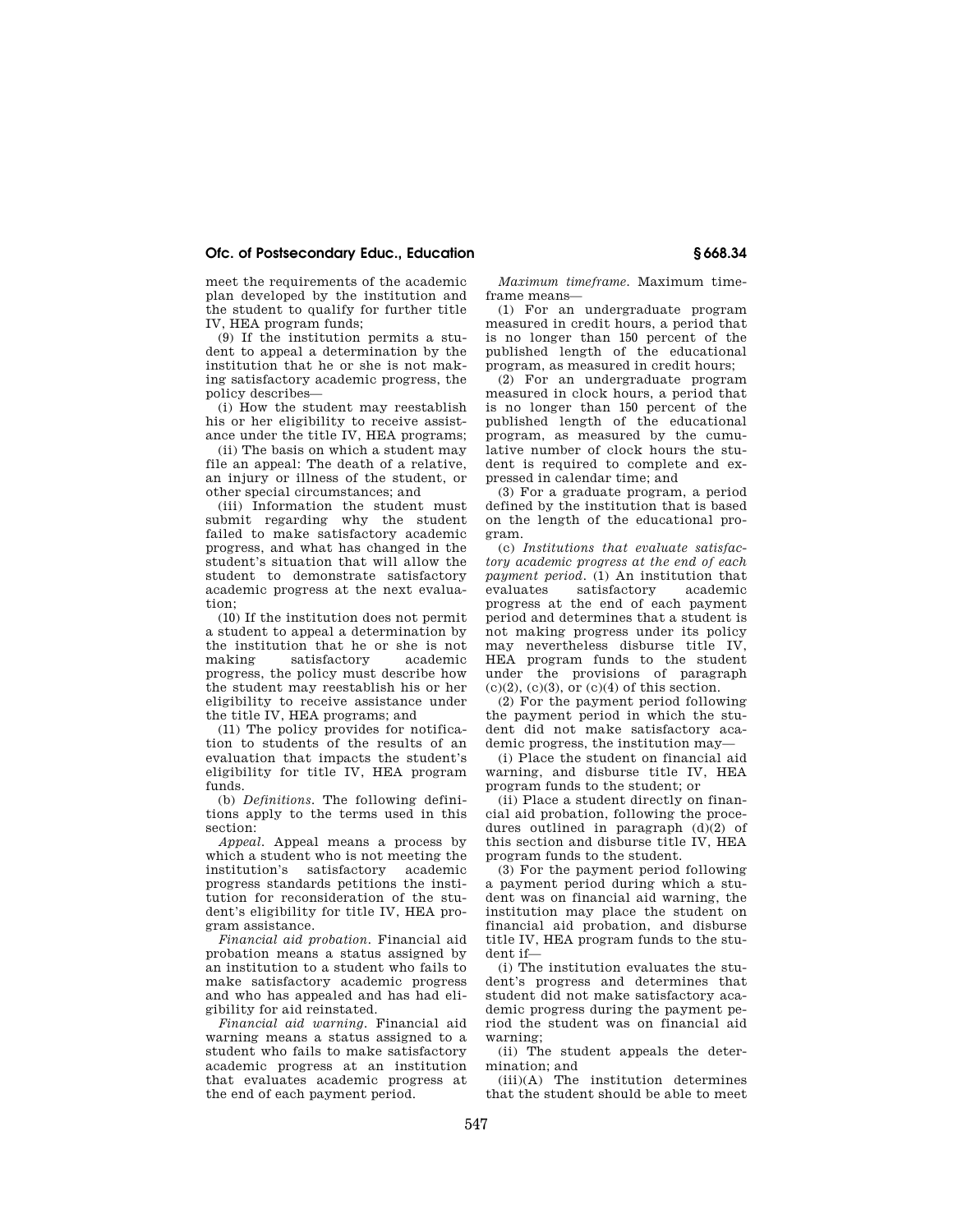# **Ofc. of Postsecondary Educ., Education § 668.34**

meet the requirements of the academic plan developed by the institution and the student to qualify for further title IV, HEA program funds;

(9) If the institution permits a student to appeal a determination by the institution that he or she is not making satisfactory academic progress, the policy describes—

(i) How the student may reestablish his or her eligibility to receive assistance under the title IV, HEA programs;

(ii) The basis on which a student may file an appeal: The death of a relative, an injury or illness of the student, or other special circumstances; and

(iii) Information the student must submit regarding why the student failed to make satisfactory academic progress, and what has changed in the student's situation that will allow the student to demonstrate satisfactory academic progress at the next evaluation;

(10) If the institution does not permit a student to appeal a determination by the institution that he or she is not making satisfactory academic progress, the policy must describe how the student may reestablish his or her eligibility to receive assistance under the title IV, HEA programs; and

(11) The policy provides for notification to students of the results of an evaluation that impacts the student's eligibility for title IV, HEA program funds.

(b) *Definitions.* The following definitions apply to the terms used in this section:

*Appeal.* Appeal means a process by which a student who is not meeting the institution's satisfactory academic progress standards petitions the institution for reconsideration of the student's eligibility for title IV, HEA program assistance.

*Financial aid probation.* Financial aid probation means a status assigned by an institution to a student who fails to make satisfactory academic progress and who has appealed and has had eligibility for aid reinstated.

*Financial aid warning.* Financial aid warning means a status assigned to a student who fails to make satisfactory academic progress at an institution that evaluates academic progress at the end of each payment period.

*Maximum timeframe.* Maximum timeframe means—

(1) For an undergraduate program measured in credit hours, a period that is no longer than 150 percent of the published length of the educational program, as measured in credit hours;

(2) For an undergraduate program measured in clock hours, a period that is no longer than 150 percent of the published length of the educational program, as measured by the cumulative number of clock hours the student is required to complete and expressed in calendar time; and

(3) For a graduate program, a period defined by the institution that is based on the length of the educational program.

(c) *Institutions that evaluate satisfactory academic progress at the end of each payment period.* (1) An institution that evaluates satisfactory academic progress at the end of each payment period and determines that a student is not making progress under its policy may nevertheless disburse title IV, HEA program funds to the student under the provisions of paragraph  $(c)(2)$ ,  $(c)(3)$ , or  $(c)(4)$  of this section.

(2) For the payment period following the payment period in which the student did not make satisfactory academic progress, the institution may—

(i) Place the student on financial aid warning, and disburse title IV, HEA program funds to the student; or

(ii) Place a student directly on financial aid probation, following the procedures outlined in paragraph (d)(2) of this section and disburse title IV, HEA program funds to the student.

(3) For the payment period following a payment period during which a student was on financial aid warning, the institution may place the student on financial aid probation, and disburse title IV, HEA program funds to the student if—

(i) The institution evaluates the student's progress and determines that student did not make satisfactory academic progress during the payment period the student was on financial aid warning;

(ii) The student appeals the determination; and

(iii)(A) The institution determines that the student should be able to meet